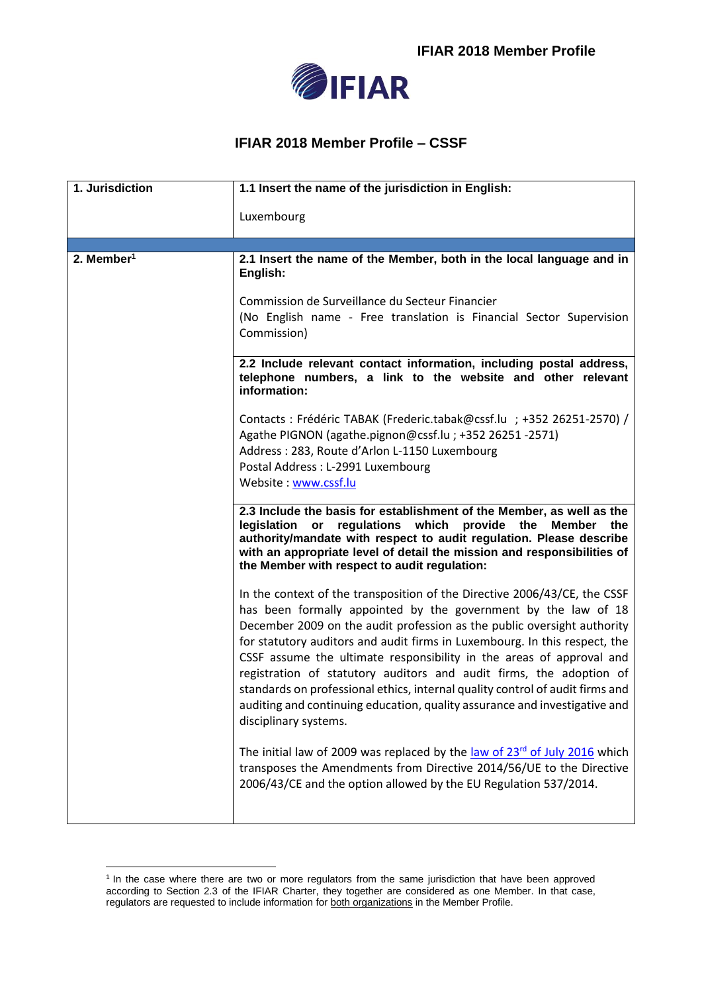

## **IFIAR 2018 Member Profile – CSSF**

| 1. Jurisdiction        | 1.1 Insert the name of the jurisdiction in English:                                                                                                                                                                                                                                                                                                                                                                                                                                                                                                                                                                                         |
|------------------------|---------------------------------------------------------------------------------------------------------------------------------------------------------------------------------------------------------------------------------------------------------------------------------------------------------------------------------------------------------------------------------------------------------------------------------------------------------------------------------------------------------------------------------------------------------------------------------------------------------------------------------------------|
|                        | Luxembourg                                                                                                                                                                                                                                                                                                                                                                                                                                                                                                                                                                                                                                  |
|                        |                                                                                                                                                                                                                                                                                                                                                                                                                                                                                                                                                                                                                                             |
| 2. Member <sup>1</sup> | 2.1 Insert the name of the Member, both in the local language and in<br>English:                                                                                                                                                                                                                                                                                                                                                                                                                                                                                                                                                            |
|                        | Commission de Surveillance du Secteur Financier<br>(No English name - Free translation is Financial Sector Supervision<br>Commission)                                                                                                                                                                                                                                                                                                                                                                                                                                                                                                       |
|                        | 2.2 Include relevant contact information, including postal address,<br>telephone numbers, a link to the website and other relevant<br>information:                                                                                                                                                                                                                                                                                                                                                                                                                                                                                          |
|                        | Contacts: Frédéric TABAK (Frederic.tabak@cssf.lu ; +352 26251-2570) /<br>Agathe PIGNON (agathe.pignon@cssf.lu; +352 26251 -2571)<br>Address: 283, Route d'Arlon L-1150 Luxembourg                                                                                                                                                                                                                                                                                                                                                                                                                                                           |
|                        | Postal Address: L-2991 Luxembourg<br>Website: www.cssf.lu                                                                                                                                                                                                                                                                                                                                                                                                                                                                                                                                                                                   |
|                        | 2.3 Include the basis for establishment of the Member, as well as the<br>legislation or regulations which provide the<br>Member<br>the<br>authority/mandate with respect to audit regulation. Please describe<br>with an appropriate level of detail the mission and responsibilities of<br>the Member with respect to audit regulation:                                                                                                                                                                                                                                                                                                    |
|                        | In the context of the transposition of the Directive 2006/43/CE, the CSSF<br>has been formally appointed by the government by the law of 18<br>December 2009 on the audit profession as the public oversight authority<br>for statutory auditors and audit firms in Luxembourg. In this respect, the<br>CSSF assume the ultimate responsibility in the areas of approval and<br>registration of statutory auditors and audit firms, the adoption of<br>standards on professional ethics, internal quality control of audit firms and<br>auditing and continuing education, quality assurance and investigative and<br>disciplinary systems. |
|                        | The initial law of 2009 was replaced by the law of $23rd$ of July 2016 which<br>transposes the Amendments from Directive 2014/56/UE to the Directive<br>2006/43/CE and the option allowed by the EU Regulation 537/2014.                                                                                                                                                                                                                                                                                                                                                                                                                    |
|                        |                                                                                                                                                                                                                                                                                                                                                                                                                                                                                                                                                                                                                                             |

<sup>1</sup> <sup>1</sup> In the case where there are two or more regulators from the same jurisdiction that have been approved according to Section 2.3 of the IFIAR Charter, they together are considered as one Member. In that case, regulators are requested to include information for both organizations in the Member Profile.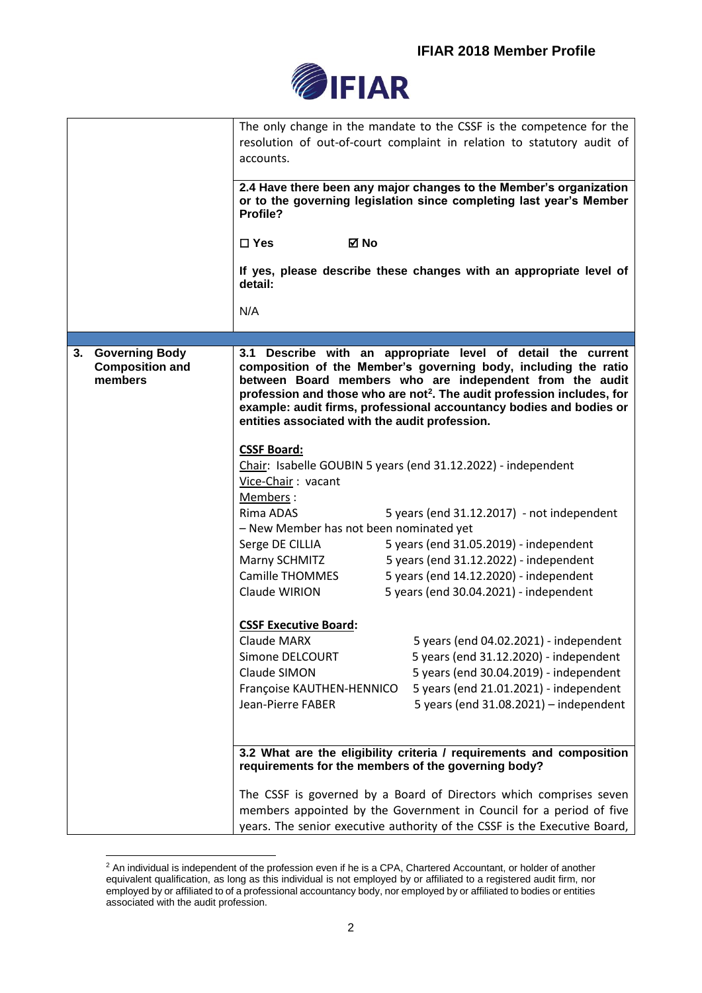

|                                                                  | The only change in the mandate to the CSSF is the competence for the<br>resolution of out-of-court complaint in relation to statutory audit of<br>accounts.<br>2.4 Have there been any major changes to the Member's organization<br>or to the governing legislation since completing last year's Member<br>Profile?<br>$\Box$ Yes<br>⊠ No<br>If yes, please describe these changes with an appropriate level of<br>detail:<br>N/A                                                                                                                                                                                                                                                                                                                                                                                                                                                                                                                                                                                                                                                                           |
|------------------------------------------------------------------|--------------------------------------------------------------------------------------------------------------------------------------------------------------------------------------------------------------------------------------------------------------------------------------------------------------------------------------------------------------------------------------------------------------------------------------------------------------------------------------------------------------------------------------------------------------------------------------------------------------------------------------------------------------------------------------------------------------------------------------------------------------------------------------------------------------------------------------------------------------------------------------------------------------------------------------------------------------------------------------------------------------------------------------------------------------------------------------------------------------|
|                                                                  |                                                                                                                                                                                                                                                                                                                                                                                                                                                                                                                                                                                                                                                                                                                                                                                                                                                                                                                                                                                                                                                                                                              |
| <b>Governing Body</b><br>3.<br><b>Composition and</b><br>members | 3.1 Describe with an appropriate level of detail the current<br>composition of the Member's governing body, including the ratio<br>between Board members who are independent from the audit<br>profession and those who are not <sup>2</sup> . The audit profession includes, for<br>example: audit firms, professional accountancy bodies and bodies or<br>entities associated with the audit profession.<br><b>CSSF Board:</b><br>Chair: Isabelle GOUBIN 5 years (end 31.12.2022) - independent<br>Vice-Chair: vacant<br>Members:<br>Rima ADAS<br>5 years (end $31.12.2017$ ) - not independent<br>- New Member has not been nominated yet<br>5 years (end 31.05.2019) - independent<br>Serge DE CILLIA<br>Marny SCHMITZ<br>5 years (end 31.12.2022) - independent<br>Camille THOMMES<br>5 years (end 14.12.2020) - independent<br>5 years (end 30.04.2021) - independent<br>Claude WIRION<br><b>CSSF Executive Board:</b><br>5 years (end 04.02.2021) - independent<br>Claude MARX<br>5 years (end 31.12.2020) - independent<br>Simone DELCOURT<br>Claude SIMON<br>5 years (end 30.04.2019) - independent |
|                                                                  | 5 years (end 21.01.2021) - independent<br>Françoise KAUTHEN-HENNICO                                                                                                                                                                                                                                                                                                                                                                                                                                                                                                                                                                                                                                                                                                                                                                                                                                                                                                                                                                                                                                          |
|                                                                  | 5 years (end $31.08.2021$ ) - independent<br>Jean-Pierre FABER                                                                                                                                                                                                                                                                                                                                                                                                                                                                                                                                                                                                                                                                                                                                                                                                                                                                                                                                                                                                                                               |
|                                                                  | 3.2 What are the eligibility criteria / requirements and composition<br>requirements for the members of the governing body?                                                                                                                                                                                                                                                                                                                                                                                                                                                                                                                                                                                                                                                                                                                                                                                                                                                                                                                                                                                  |
|                                                                  | The CSSF is governed by a Board of Directors which comprises seven                                                                                                                                                                                                                                                                                                                                                                                                                                                                                                                                                                                                                                                                                                                                                                                                                                                                                                                                                                                                                                           |
|                                                                  | members appointed by the Government in Council for a period of five                                                                                                                                                                                                                                                                                                                                                                                                                                                                                                                                                                                                                                                                                                                                                                                                                                                                                                                                                                                                                                          |
|                                                                  | years. The senior executive authority of the CSSF is the Executive Board,                                                                                                                                                                                                                                                                                                                                                                                                                                                                                                                                                                                                                                                                                                                                                                                                                                                                                                                                                                                                                                    |

<sup>&</sup>lt;u>.</u>  $2$  An individual is independent of the profession even if he is a CPA, Chartered Accountant, or holder of another equivalent qualification, as long as this individual is not employed by or affiliated to a registered audit firm, nor employed by or affiliated to of a professional accountancy body, nor employed by or affiliated to bodies or entities associated with the audit profession.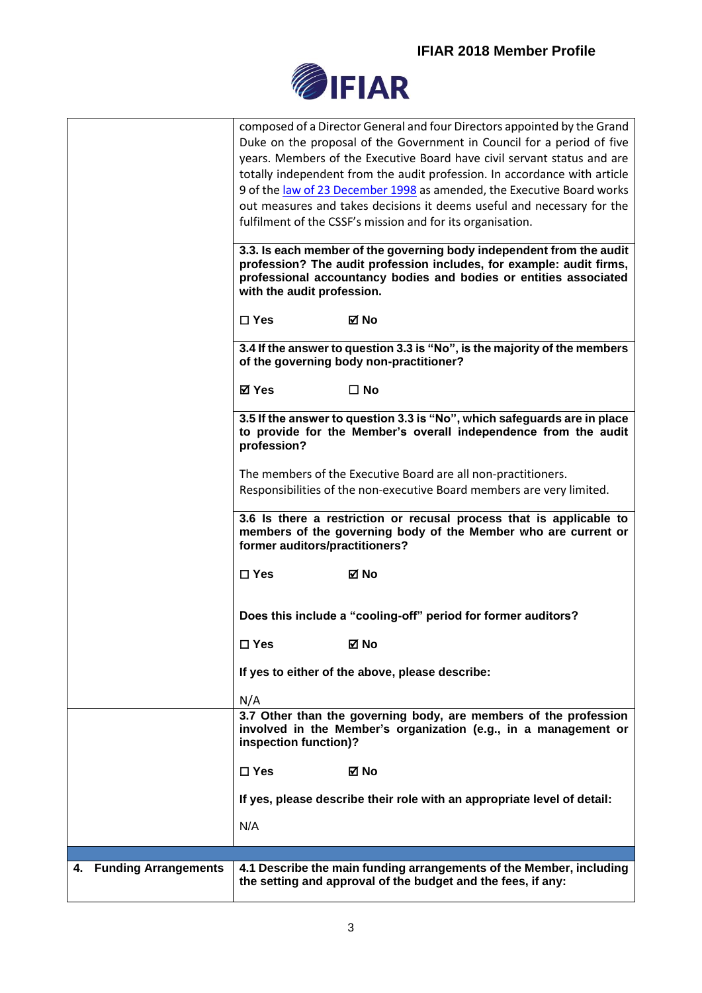

|                         | composed of a Director General and four Directors appointed by the Grand<br>Duke on the proposal of the Government in Council for a period of five<br>years. Members of the Executive Board have civil servant status and are<br>totally independent from the audit profession. In accordance with article<br>9 of the law of 23 December 1998 as amended, the Executive Board works<br>out measures and takes decisions it deems useful and necessary for the<br>fulfilment of the CSSF's mission and for its organisation.<br>3.3. Is each member of the governing body independent from the audit |
|-------------------------|------------------------------------------------------------------------------------------------------------------------------------------------------------------------------------------------------------------------------------------------------------------------------------------------------------------------------------------------------------------------------------------------------------------------------------------------------------------------------------------------------------------------------------------------------------------------------------------------------|
|                         | profession? The audit profession includes, for example: audit firms,<br>professional accountancy bodies and bodies or entities associated<br>with the audit profession.                                                                                                                                                                                                                                                                                                                                                                                                                              |
|                         | $\Box$ Yes<br>⊠ No                                                                                                                                                                                                                                                                                                                                                                                                                                                                                                                                                                                   |
|                         | 3.4 If the answer to question 3.3 is "No", is the majority of the members<br>of the governing body non-practitioner?                                                                                                                                                                                                                                                                                                                                                                                                                                                                                 |
|                         | <b>⊠</b> Yes<br>$\Box$ No                                                                                                                                                                                                                                                                                                                                                                                                                                                                                                                                                                            |
|                         | 3.5 If the answer to question 3.3 is "No", which safeguards are in place<br>to provide for the Member's overall independence from the audit<br>profession?                                                                                                                                                                                                                                                                                                                                                                                                                                           |
|                         | The members of the Executive Board are all non-practitioners.<br>Responsibilities of the non-executive Board members are very limited.                                                                                                                                                                                                                                                                                                                                                                                                                                                               |
|                         | 3.6 Is there a restriction or recusal process that is applicable to                                                                                                                                                                                                                                                                                                                                                                                                                                                                                                                                  |
|                         | members of the governing body of the Member who are current or<br>former auditors/practitioners?                                                                                                                                                                                                                                                                                                                                                                                                                                                                                                     |
|                         | $\Box$ Yes<br>⊠ No                                                                                                                                                                                                                                                                                                                                                                                                                                                                                                                                                                                   |
|                         | Does this include a "cooling-off" period for former auditors?                                                                                                                                                                                                                                                                                                                                                                                                                                                                                                                                        |
|                         | $\square$ Yes<br>⊠ No                                                                                                                                                                                                                                                                                                                                                                                                                                                                                                                                                                                |
|                         | If yes to either of the above, please describe:                                                                                                                                                                                                                                                                                                                                                                                                                                                                                                                                                      |
|                         | N/A<br>3.7 Other than the governing body, are members of the profession                                                                                                                                                                                                                                                                                                                                                                                                                                                                                                                              |
|                         | involved in the Member's organization (e.g., in a management or<br>inspection function)?                                                                                                                                                                                                                                                                                                                                                                                                                                                                                                             |
|                         | $\Box$ Yes<br>⊠ No                                                                                                                                                                                                                                                                                                                                                                                                                                                                                                                                                                                   |
|                         | If yes, please describe their role with an appropriate level of detail:                                                                                                                                                                                                                                                                                                                                                                                                                                                                                                                              |
|                         | N/A                                                                                                                                                                                                                                                                                                                                                                                                                                                                                                                                                                                                  |
|                         |                                                                                                                                                                                                                                                                                                                                                                                                                                                                                                                                                                                                      |
| 4. Funding Arrangements | 4.1 Describe the main funding arrangements of the Member, including<br>the setting and approval of the budget and the fees, if any:                                                                                                                                                                                                                                                                                                                                                                                                                                                                  |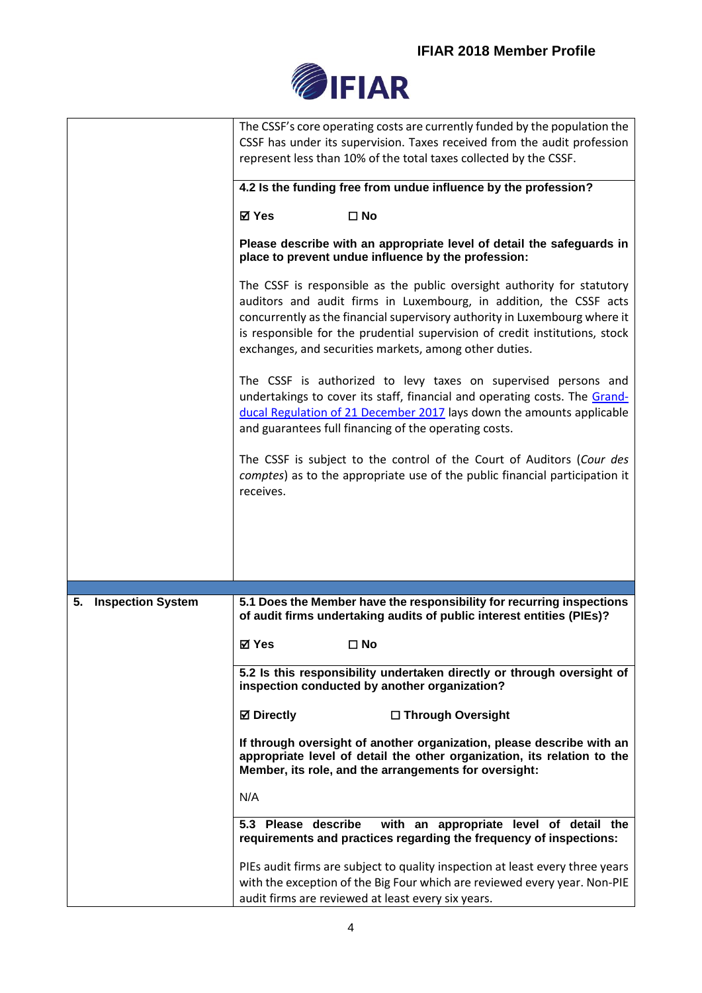## **IFIAR 2018 Member Profile**



|                                | The CSSF's core operating costs are currently funded by the population the<br>CSSF has under its supervision. Taxes received from the audit profession<br>represent less than 10% of the total taxes collected by the CSSF.                                                                                                                                          |
|--------------------------------|----------------------------------------------------------------------------------------------------------------------------------------------------------------------------------------------------------------------------------------------------------------------------------------------------------------------------------------------------------------------|
|                                |                                                                                                                                                                                                                                                                                                                                                                      |
|                                | 4.2 Is the funding free from undue influence by the profession?                                                                                                                                                                                                                                                                                                      |
|                                | $\square$ No<br>⊠ Yes                                                                                                                                                                                                                                                                                                                                                |
|                                | Please describe with an appropriate level of detail the safeguards in<br>place to prevent undue influence by the profession:                                                                                                                                                                                                                                         |
|                                | The CSSF is responsible as the public oversight authority for statutory<br>auditors and audit firms in Luxembourg, in addition, the CSSF acts<br>concurrently as the financial supervisory authority in Luxembourg where it<br>is responsible for the prudential supervision of credit institutions, stock<br>exchanges, and securities markets, among other duties. |
|                                | The CSSF is authorized to levy taxes on supervised persons and<br>undertakings to cover its staff, financial and operating costs. The Grand-<br>ducal Regulation of 21 December 2017 lays down the amounts applicable<br>and guarantees full financing of the operating costs.                                                                                       |
|                                | The CSSF is subject to the control of the Court of Auditors (Cour des<br>comptes) as to the appropriate use of the public financial participation it<br>receives.                                                                                                                                                                                                    |
|                                |                                                                                                                                                                                                                                                                                                                                                                      |
|                                |                                                                                                                                                                                                                                                                                                                                                                      |
| <b>Inspection System</b><br>5. | 5.1 Does the Member have the responsibility for recurring inspections<br>of audit firms undertaking audits of public interest entities (PIEs)?                                                                                                                                                                                                                       |
|                                | <b>⊠</b> Yes<br>$\square$ No                                                                                                                                                                                                                                                                                                                                         |
|                                | 5.2 Is this responsibility undertaken directly or through oversight of<br>inspection conducted by another organization?                                                                                                                                                                                                                                              |
|                                | <b>Ø</b> Directly<br>□ Through Oversight                                                                                                                                                                                                                                                                                                                             |
|                                | If through oversight of another organization, please describe with an<br>appropriate level of detail the other organization, its relation to the<br>Member, its role, and the arrangements for oversight:                                                                                                                                                            |
|                                | N/A                                                                                                                                                                                                                                                                                                                                                                  |
|                                | 5.3 Please describe<br>with an appropriate level of detail the<br>requirements and practices regarding the frequency of inspections:                                                                                                                                                                                                                                 |
|                                | PIEs audit firms are subject to quality inspection at least every three years<br>with the exception of the Big Four which are reviewed every year. Non-PIE<br>audit firms are reviewed at least every six years.                                                                                                                                                     |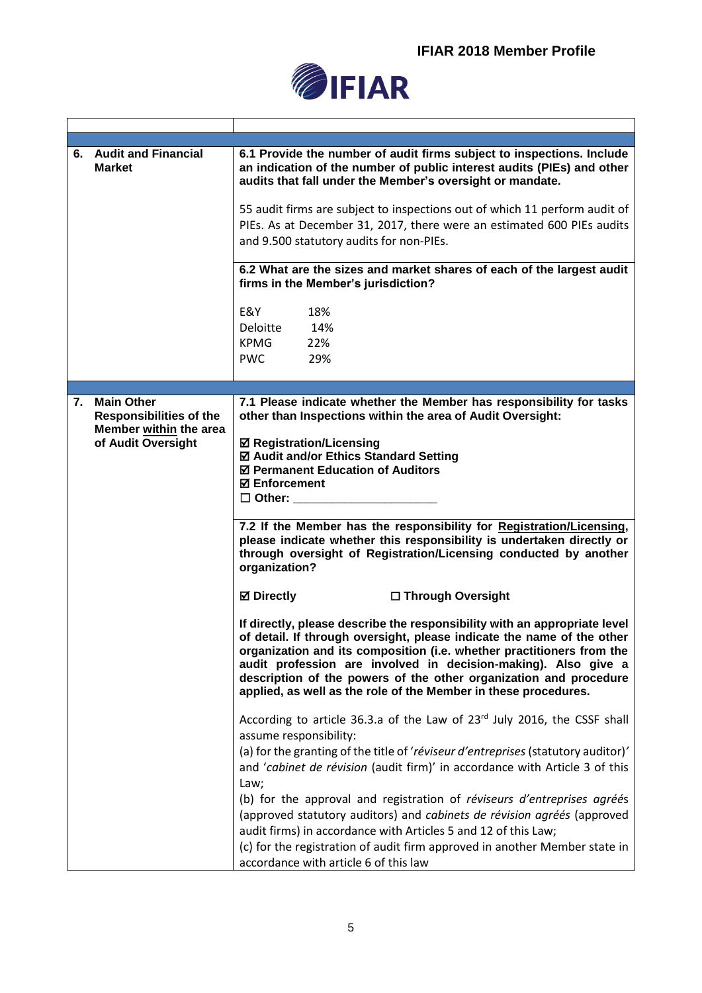

|    | 6. Audit and Financial<br><b>Market</b>             | 6.1 Provide the number of audit firms subject to inspections. Include<br>an indication of the number of public interest audits (PIEs) and other<br>audits that fall under the Member's oversight or mandate.                                                                                                                                                                                                                           |
|----|-----------------------------------------------------|----------------------------------------------------------------------------------------------------------------------------------------------------------------------------------------------------------------------------------------------------------------------------------------------------------------------------------------------------------------------------------------------------------------------------------------|
|    |                                                     | 55 audit firms are subject to inspections out of which 11 perform audit of<br>PIEs. As at December 31, 2017, there were an estimated 600 PIEs audits<br>and 9.500 statutory audits for non-PIEs.                                                                                                                                                                                                                                       |
|    |                                                     | 6.2 What are the sizes and market shares of each of the largest audit<br>firms in the Member's jurisdiction?                                                                                                                                                                                                                                                                                                                           |
|    |                                                     | E&Y<br>18%<br>Deloitte<br>14%<br><b>KPMG</b><br>22%<br><b>PWC</b><br>29%                                                                                                                                                                                                                                                                                                                                                               |
|    |                                                     |                                                                                                                                                                                                                                                                                                                                                                                                                                        |
| 7. | <b>Main Other</b><br><b>Responsibilities of the</b> | 7.1 Please indicate whether the Member has responsibility for tasks<br>other than Inspections within the area of Audit Oversight:                                                                                                                                                                                                                                                                                                      |
|    | Member within the area<br>of Audit Oversight        | <b>Ø Registration/Licensing</b><br>☑ Audit and/or Ethics Standard Setting<br>☑ Permanent Education of Auditors<br><b>⊠</b> Enforcement<br>$\Box$ Other:                                                                                                                                                                                                                                                                                |
|    |                                                     | 7.2 If the Member has the responsibility for Registration/Licensing,<br>please indicate whether this responsibility is undertaken directly or<br>through oversight of Registration/Licensing conducted by another<br>organization?                                                                                                                                                                                                     |
|    |                                                     | <b>⊠</b> Directly<br>□ Through Oversight                                                                                                                                                                                                                                                                                                                                                                                               |
|    |                                                     | If directly, please describe the responsibility with an appropriate level<br>of detail. If through oversight, please indicate the name of the other<br>organization and its composition (i.e. whether practitioners from the<br>audit profession are involved in decision-making). Also give a<br>description of the powers of the other organization and procedure<br>applied, as well as the role of the Member in these procedures. |
|    |                                                     | According to article 36.3.a of the Law of 23rd July 2016, the CSSF shall<br>assume responsibility:<br>(a) for the granting of the title of 'réviseur d'entreprises (statutory auditor)'                                                                                                                                                                                                                                                |
|    |                                                     | and 'cabinet de révision (audit firm)' in accordance with Article 3 of this<br>Law;<br>(b) for the approval and registration of réviseurs d'entreprises agréés                                                                                                                                                                                                                                                                         |
|    |                                                     | (approved statutory auditors) and cabinets de révision agréés (approved<br>audit firms) in accordance with Articles 5 and 12 of this Law;                                                                                                                                                                                                                                                                                              |
|    |                                                     | (c) for the registration of audit firm approved in another Member state in<br>accordance with article 6 of this law                                                                                                                                                                                                                                                                                                                    |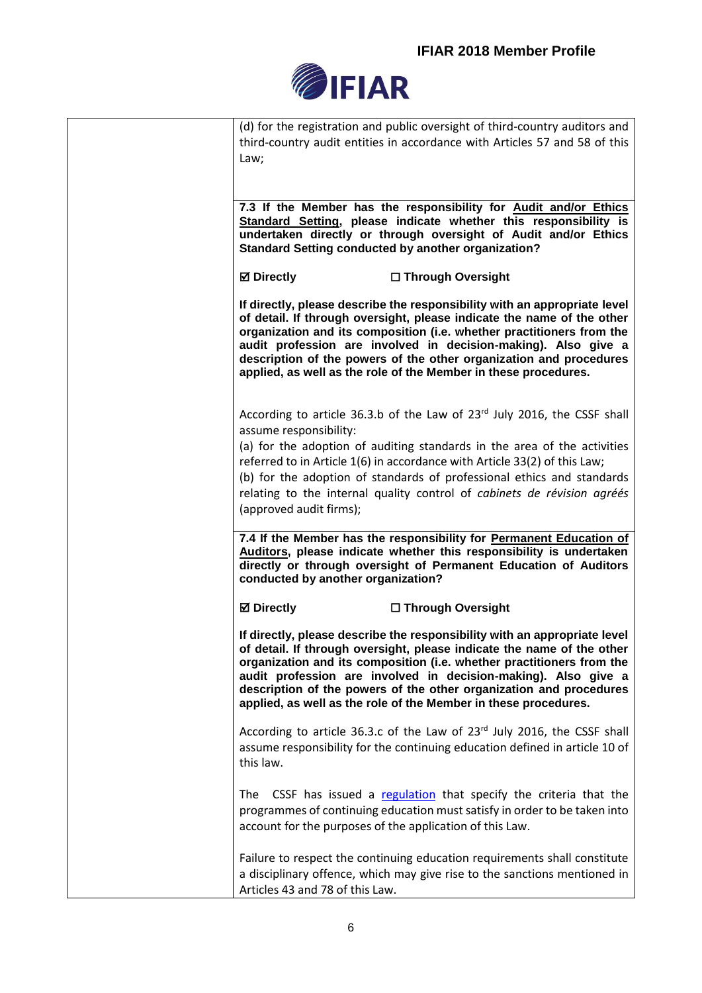

| (d) for the registration and public oversight of third-country auditors and                                                             |
|-----------------------------------------------------------------------------------------------------------------------------------------|
| third-country audit entities in accordance with Articles 57 and 58 of this                                                              |
| Law;                                                                                                                                    |
|                                                                                                                                         |
|                                                                                                                                         |
| 7.3 If the Member has the responsibility for Audit and/or Ethics<br>Standard Setting, please indicate whether this responsibility is    |
| undertaken directly or through oversight of Audit and/or Ethics                                                                         |
| <b>Standard Setting conducted by another organization?</b>                                                                              |
| <b>Ø</b> Directly<br>□ Through Oversight                                                                                                |
| If directly, please describe the responsibility with an appropriate level                                                               |
| of detail. If through oversight, please indicate the name of the other                                                                  |
| organization and its composition (i.e. whether practitioners from the<br>audit profession are involved in decision-making). Also give a |
| description of the powers of the other organization and procedures                                                                      |
| applied, as well as the role of the Member in these procedures.                                                                         |
| According to article 36.3.b of the Law of $23^{rd}$ July 2016, the CSSF shall                                                           |
| assume responsibility:                                                                                                                  |
| (a) for the adoption of auditing standards in the area of the activities                                                                |
| referred to in Article 1(6) in accordance with Article 33(2) of this Law;                                                               |
| (b) for the adoption of standards of professional ethics and standards                                                                  |
| relating to the internal quality control of cabinets de révision agréés<br>(approved audit firms);                                      |
|                                                                                                                                         |
| 7.4 If the Member has the responsibility for Permanent Education of                                                                     |
| Auditors, please indicate whether this responsibility is undertaken                                                                     |
| directly or through oversight of Permanent Education of Auditors<br>conducted by another organization?                                  |
| <b>Ø</b> Directly<br>□ Through Oversight                                                                                                |
| If directly, please describe the responsibility with an appropriate level                                                               |
| of detail. If through oversight, please indicate the name of the other                                                                  |
| organization and its composition (i.e. whether practitioners from the<br>audit profession are involved in decision-making). Also give a |
| description of the powers of the other organization and procedures                                                                      |
| applied, as well as the role of the Member in these procedures.                                                                         |
| According to article 36.3.c of the Law of 23rd July 2016, the CSSF shall                                                                |
| assume responsibility for the continuing education defined in article 10 of                                                             |
| this law.                                                                                                                               |
| The CSSF has issued a regulation that specify the criteria that the                                                                     |
| programmes of continuing education must satisfy in order to be taken into                                                               |
| account for the purposes of the application of this Law.                                                                                |
| Failure to respect the continuing education requirements shall constitute                                                               |
| a disciplinary offence, which may give rise to the sanctions mentioned in                                                               |
| Articles 43 and 78 of this Law.                                                                                                         |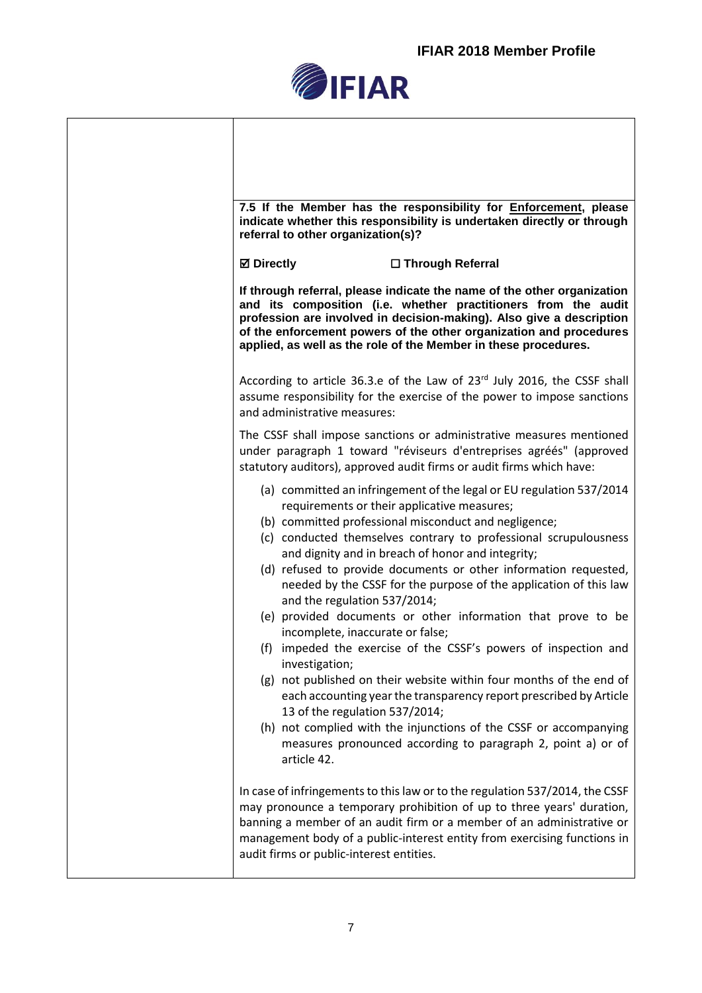٦



Τ

 $\Gamma$ 

| 7.5 If the Member has the responsibility for <b>Enforcement</b> , please<br>indicate whether this responsibility is undertaken directly or through<br>referral to other organization(s)?                                                                                                                                                                                                                                                                                                                                                                                                                                                                                                                                                                                                                                                                                                                                                                                                                   |
|------------------------------------------------------------------------------------------------------------------------------------------------------------------------------------------------------------------------------------------------------------------------------------------------------------------------------------------------------------------------------------------------------------------------------------------------------------------------------------------------------------------------------------------------------------------------------------------------------------------------------------------------------------------------------------------------------------------------------------------------------------------------------------------------------------------------------------------------------------------------------------------------------------------------------------------------------------------------------------------------------------|
| <b>Ø</b> Directly<br>□ Through Referral                                                                                                                                                                                                                                                                                                                                                                                                                                                                                                                                                                                                                                                                                                                                                                                                                                                                                                                                                                    |
| If through referral, please indicate the name of the other organization<br>and its composition (i.e. whether practitioners from the audit<br>profession are involved in decision-making). Also give a description<br>of the enforcement powers of the other organization and procedures<br>applied, as well as the role of the Member in these procedures.                                                                                                                                                                                                                                                                                                                                                                                                                                                                                                                                                                                                                                                 |
| According to article 36.3.e of the Law of 23 <sup>rd</sup> July 2016, the CSSF shall<br>assume responsibility for the exercise of the power to impose sanctions<br>and administrative measures:                                                                                                                                                                                                                                                                                                                                                                                                                                                                                                                                                                                                                                                                                                                                                                                                            |
| The CSSF shall impose sanctions or administrative measures mentioned<br>under paragraph 1 toward "réviseurs d'entreprises agréés" (approved<br>statutory auditors), approved audit firms or audit firms which have:                                                                                                                                                                                                                                                                                                                                                                                                                                                                                                                                                                                                                                                                                                                                                                                        |
| (a) committed an infringement of the legal or EU regulation 537/2014<br>requirements or their applicative measures;<br>(b) committed professional misconduct and negligence;<br>(c) conducted themselves contrary to professional scrupulousness<br>and dignity and in breach of honor and integrity;<br>(d) refused to provide documents or other information requested,<br>needed by the CSSF for the purpose of the application of this law<br>and the regulation 537/2014;<br>(e) provided documents or other information that prove to be<br>incomplete, inaccurate or false;<br>(f) impeded the exercise of the CSSF's powers of inspection and<br>investigation;<br>(g) not published on their website within four months of the end of<br>each accounting year the transparency report prescribed by Article<br>13 of the regulation 537/2014;<br>(h) not complied with the injunctions of the CSSF or accompanying<br>measures pronounced according to paragraph 2, point a) or of<br>article 42. |
| In case of infringements to this law or to the regulation 537/2014, the CSSF<br>may pronounce a temporary prohibition of up to three years' duration,<br>banning a member of an audit firm or a member of an administrative or<br>management body of a public-interest entity from exercising functions in<br>audit firms or public-interest entities.                                                                                                                                                                                                                                                                                                                                                                                                                                                                                                                                                                                                                                                     |